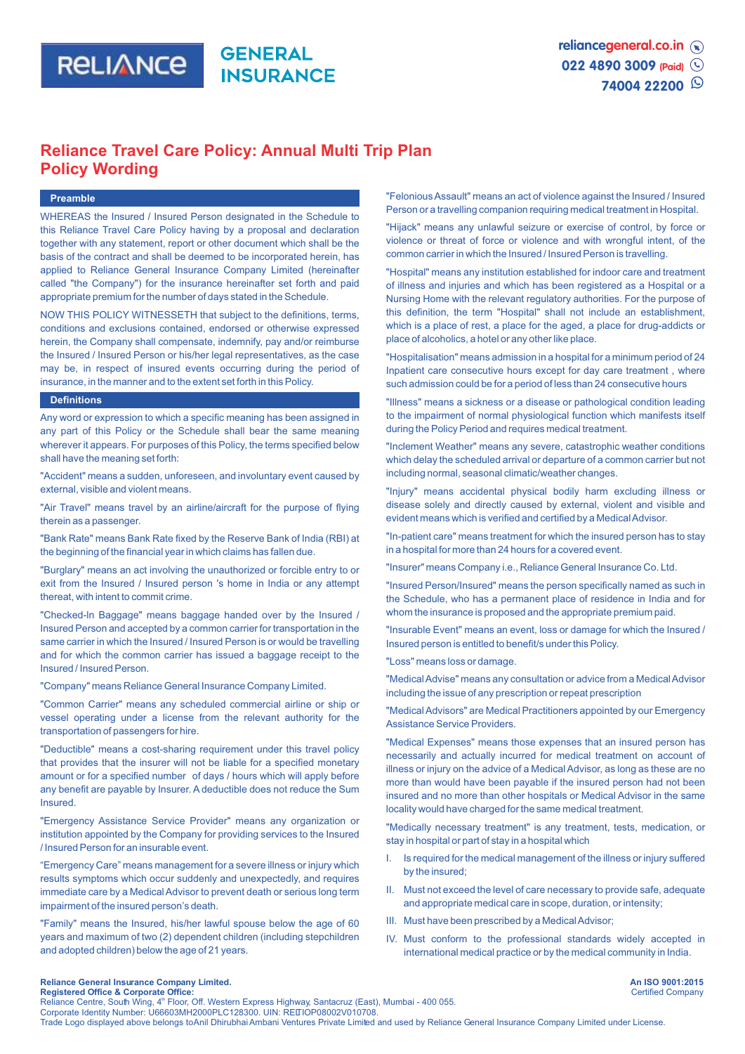

# **Reliance Travel Care Policy: Annual Multi Trip Plan Policy Wording**

# **Preamble**

WHEREAS the Insured / Insured Person designated in the Schedule to this Reliance Travel Care Policy having by a proposal and declaration together with any statement, report or other document which shall be the basis of the contract and shall be deemed to be incorporated herein, has applied to Reliance General Insurance Company Limited (hereinafter called "the Company") for the insurance hereinafter set forth and paid appropriate premium for the number of days stated in the Schedule.

NOW THIS POLICY WITNESSETH that subject to the definitions, terms, conditions and exclusions contained, endorsed or otherwise expressed herein, the Company shall compensate, indemnify, pay and/or reimburse the Insured / Insured Person or his/her legal representatives, as the case may be, in respect of insured events occurring during the period of insurance, in the manner and to the extent set forth in this Policy.

#### **Definitions**

Any word or expression to which a specific meaning has been assigned in any part of this Policy or the Schedule shall bear the same meaning wherever it appears. For purposes of this Policy, the terms specified below shall have the meaning set forth:

"Accident" means a sudden, unforeseen, and involuntary event caused by external, visible and violent means.

"Air Travel" means travel by an airline/aircraft for the purpose of flying therein as a passenger.

"Bank Rate" means Bank Rate fixed by the Reserve Bank of India (RBI) at the beginning of the financial year in which claims has fallen due.

"Burglary" means an act involving the unauthorized or forcible entry to or exit from the Insured / Insured person 's home in India or any attempt thereat, with intent to commit crime.

"Checked-ln Baggage" means baggage handed over by the Insured / Insured Person and accepted by a common carrier for transportation in the same carrier in which the Insured / Insured Person is or would be travelling and for which the common carrier has issued a baggage receipt to the Insured / Insured Person.

"Company" means Reliance General Insurance Company Limited.

"Common Carrier" means any scheduled commercial airline or ship or vessel operating under a license from the relevant authority for the transportation of passengers for hire.

"Deductible" means a cost-sharing requirement under this travel policy that provides that the insurer will not be liable for a specified monetary amount or for a specified number of days / hours which will apply before any benefit are payable by Insurer. A deductible does not reduce the Sum Insured.

"Emergency Assistance Service Provider" means any organization or institution appointed by the Company for providing services to the Insured / Insured Person for an insurable event.

"Emergency Care" means management for a severe illness or injury which results symptoms which occur suddenly and unexpectedly, and requires immediate care by a Medical Advisor to prevent death or serious long term impairment of the insured person's death.

"Family" means the Insured, his/her lawful spouse below the age of 60 years and maximum of two (2) dependent children (including stepchildren and adopted children) below the age of 21 years.

"Felonious Assault" means an act of violence against the Insured / Insured Person or a travelling companion requiring medical treatment in Hospital.

"Hijack" means any unlawful seizure or exercise of control, by force or violence or threat of force or violence and with wrongful intent, of the common carrier in which the Insured / Insured Person is travelling.

"Hospital" means any institution established for indoor care and treatment of illness and injuries and which has been registered as a Hospital or a Nursing Home with the relevant regulatory authorities. For the purpose of this definition, the term "Hospital" shall not include an establishment, which is a place of rest, a place for the aged, a place for drug-addicts or place of alcoholics, a hotel or any other like place.

"Hospitalisation" means admission in a hospital for a minimum period of 24 Inpatient care consecutive hours except for day care treatment , where such admission could be for a period of less than 24 consecutive hours

"Illness" means a sickness or a disease or pathological condition leading to the impairment of normal physiological function which manifests itself during the Policy Period and requires medical treatment.

"Inclement Weather" means any severe, catastrophic weather conditions which delay the scheduled arrival or departure of a common carrier but not including normal, seasonal climatic/weather changes.

"Injury" means accidental physical bodily harm excluding illness or disease solely and directly caused by external, violent and visible and evident means which is verified and certified by a Medical Advisor.

"In-patient care" means treatment for which the insured person has to stay in a hospital for more than 24 hours for a covered event.

"Insurer" means Company i.e., Reliance General Insurance Co. Ltd.

"Insured Person/Insured" means the person specifically named as such in the Schedule, who has a permanent place of residence in India and for whom the insurance is proposed and the appropriate premium paid.

"Insurable Event" means an event, loss or damage for which the Insured / Insured person is entitled to benefit/s under this Policy.

"Loss" means loss or damage.

"Medical Advise" means any consultation or advice from a Medical Advisor including the issue of any prescription or repeat prescription

"Medical Advisors" are Medical Practitioners appointed by our Emergency Assistance Service Providers.

"Medical Expenses" means those expenses that an insured person has necessarily and actually incurred for medical treatment on account of illness or injury on the advice of a Medical Advisor, as long as these are no more than would have been payable if the insured person had not been insured and no more than other hospitals or Medical Advisor in the same locality would have charged for the same medical treatment.

"Medically necessary treatment" is any treatment, tests, medication, or stay in hospital or part of stay in a hospital which

- I. Is required for the medical management of the illness or injury suffered by the insured;
- II. Must not exceed the level of care necessary to provide safe, adequate and appropriate medical care in scope, duration, or intensity;
- III. Must have been prescribed by a Medical Advisor;
- IV. Must conform to the professional standards widely accepted in international medical practice or by the medical community in India.

**An ISO 9001:2015**

# **Reliance General Insurance Company Limited.**

Certified Company **Registered Office & Corporate Office:**<br>Reliance Centre, South Wing, 4<sup>th</sup> Floor, Off. Western Express Highway, Santacruz (East), Mumbai - 400 055. Corporate Identity Number: U66603MH2000PLC128300. UIN: RELTIOP08002V010708. Trade Logo displayed above belongs to Anil Dhirubhai Ambani Ventures Private Limited and used by Reliance General Insurance Company Limited under License.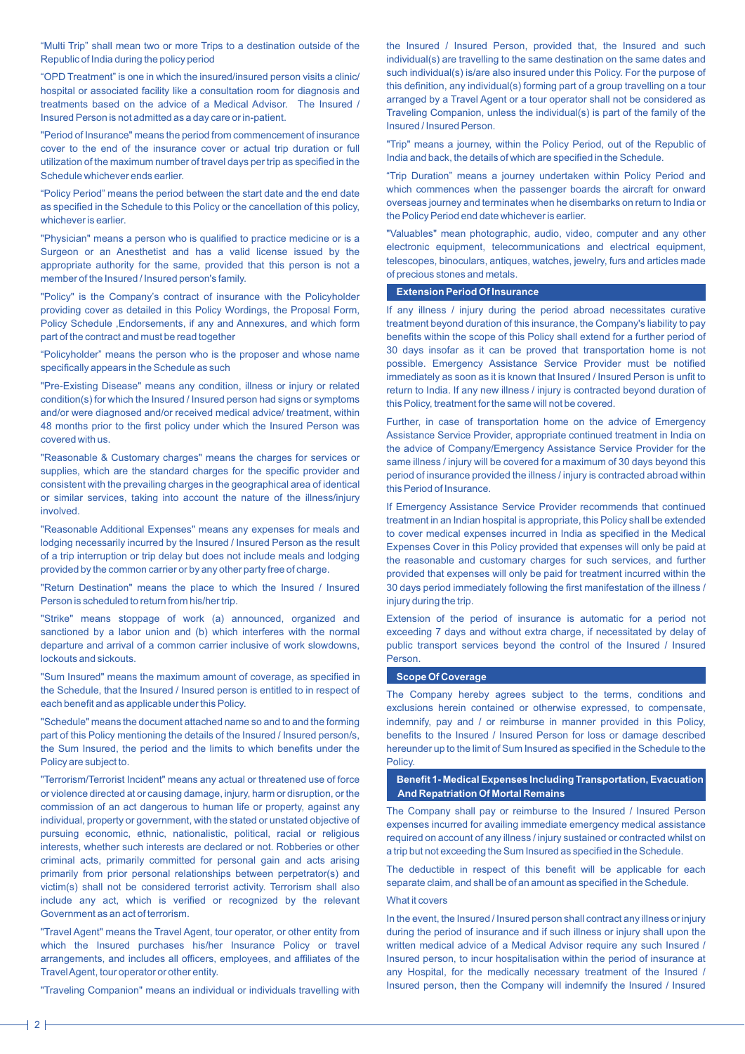"Multi Trip" shall mean two or more Trips to a destination outside of the Republic of India during the policy period

"OPD Treatment" is one in which the insured/insured person visits a clinic/ hospital or associated facility like a consultation room for diagnosis and treatments based on the advice of a Medical Advisor. The Insured / Insured Person is not admitted as a day care or in-patient.

"Period of Insurance" means the period from commencement of insurance cover to the end of the insurance cover or actual trip duration or full utilization of the maximum number of travel days per trip as specified in the Schedule whichever ends earlier.

"Policy Period" means the period between the start date and the end date as specified in the Schedule to this Policy or the cancellation of this policy, whichever is earlier.

"Physician" means a person who is qualified to practice medicine or is a Surgeon or an Anesthetist and has a valid license issued by the appropriate authority for the same, provided that this person is not a member of the Insured / Insured person's family.

"Policy" is the Company's contract of insurance with the Policyholder providing cover as detailed in this Policy Wordings, the Proposal Form, Policy Schedule ,Endorsements, if any and Annexures, and which form part of the contract and must be read together

"Policyholder" means the person who is the proposer and whose name specifically appears in the Schedule as such

"Pre-Existing Disease" means any condition, illness or injury or related condition(s) for which the Insured / Insured person had signs or symptoms and/or were diagnosed and/or received medical advice/ treatment, within 48 months prior to the first policy under which the Insured Person was covered with us.

"Reasonable & Customary charges" means the charges for services or supplies, which are the standard charges for the specific provider and consistent with the prevailing charges in the geographical area of identical or similar services, taking into account the nature of the illness/injury involved.

"Reasonable Additional Expenses" means any expenses for meals and lodging necessarily incurred by the Insured / Insured Person as the result of a trip interruption or trip delay but does not include meals and lodging provided by the common carrier or by any other party free of charge.

"Return Destination" means the place to which the Insured / Insured Person is scheduled to return from his/her trip.

"Strike" means stoppage of work (a) announced, organized and sanctioned by a labor union and (b) which interferes with the normal departure and arrival of a common carrier inclusive of work slowdowns, lockouts and sickouts.

"Sum Insured" means the maximum amount of coverage, as specified in the Schedule, that the Insured / Insured person is entitled to in respect of each benefit and as applicable under this Policy.

"Schedule" means the document attached name so and to and the forming part of this Policy mentioning the details of the Insured / Insured person/s, the Sum Insured, the period and the limits to which benefits under the Policy are subject to.

"Terrorism/Terrorist Incident" means any actual or threatened use of force or violence directed at or causing damage, injury, harm or disruption, or the commission of an act dangerous to human life or property, against any individual, property or government, with the stated or unstated objective of pursuing economic, ethnic, nationalistic, political, racial or religious interests, whether such interests are declared or not. Robberies or other criminal acts, primarily committed for personal gain and acts arising primarily from prior personal relationships between perpetrator(s) and victim(s) shall not be considered terrorist activity. Terrorism shall also include any act, which is verified or recognized by the relevant Government as an act of terrorism.

"Travel Agent" means the Travel Agent, tour operator, or other entity from which the Insured purchases his/her Insurance Policy or travel arrangements, and includes all officers, employees, and affiliates of the Travel Agent, tour operator or other entity.

"Traveling Companion" means an individual or individuals travelling with

the Insured / Insured Person, provided that, the Insured and such individual(s) are travelling to the same destination on the same dates and such individual(s) is/are also insured under this Policy. For the purpose of this definition, any individual(s) forming part of a group travelling on a tour arranged by a Travel Agent or a tour operator shall not be considered as Traveling Companion, unless the individual(s) is part of the family of the Insured / Insured Person.

"Trip" means a journey, within the Policy Period, out of the Republic of India and back, the details of which are specified in the Schedule.

"Trip Duration" means a journey undertaken within Policy Period and which commences when the passenger boards the aircraft for onward overseas journey and terminates when he disembarks on return to India or the Policy Period end date whichever is earlier.

"Valuables" mean photographic, audio, video, computer and any other electronic equipment, telecommunications and electrical equipment, telescopes, binoculars, antiques, watches, jewelry, furs and articles made of precious stones and metals.

# **Extension Period Of Insurance**

If any illness / injury during the period abroad necessitates curative treatment beyond duration of this insurance, the Company's liability to pay benefits within the scope of this Policy shall extend for a further period of 30 days insofar as it can be proved that transportation home is not possible. Emergency Assistance Service Provider must be notified immediately as soon as it is known that Insured / Insured Person is unfit to return to India. If any new illness / injury is contracted beyond duration of this Policy, treatment for the same will not be covered.

Further, in case of transportation home on the advice of Emergency Assistance Service Provider, appropriate continued treatment in India on the advice of Company/Emergency Assistance Service Provider for the same illness / injury will be covered for a maximum of 30 days beyond this period of insurance provided the illness / injury is contracted abroad within this Period of Insurance.

If Emergency Assistance Service Provider recommends that continued treatment in an Indian hospital is appropriate, this Policy shall be extended to cover medical expenses incurred in India as specified in the Medical Expenses Cover in this Policy provided that expenses will only be paid at the reasonable and customary charges for such services, and further provided that expenses will only be paid for treatment incurred within the 30 days period immediately following the first manifestation of the illness / injury during the trip.

Extension of the period of insurance is automatic for a period not exceeding 7 days and without extra charge, if necessitated by delay of public transport services beyond the control of the Insured / Insured Person.

#### **Scope Of Coverage**

The Company hereby agrees subject to the terms, conditions and exclusions herein contained or otherwise expressed, to compensate, indemnify, pay and / or reimburse in manner provided in this Policy, benefits to the Insured / Insured Person for loss or damage described hereunder up to the limit of Sum Insured as specified in the Schedule to the Policy.

 **Benefit 1- Medical Expenses Including Transportation, Evacuation And Repatriation Of Mortal Remains**

The Company shall pay or reimburse to the Insured / Insured Person expenses incurred for availing immediate emergency medical assistance required on account of any illness / injury sustained or contracted whilst on a trip but not exceeding the Sum Insured as specified in the Schedule.

The deductible in respect of this benefit will be applicable for each separate claim, and shall be of an amount as specified in the Schedule.

# What it covers

In the event, the Insured / Insured person shall contract any illness or injury during the period of insurance and if such illness or injury shall upon the written medical advice of a Medical Advisor require any such Insured / Insured person, to incur hospitalisation within the period of insurance at any Hospital, for the medically necessary treatment of the Insured / Insured person, then the Company will indemnify the Insured / Insured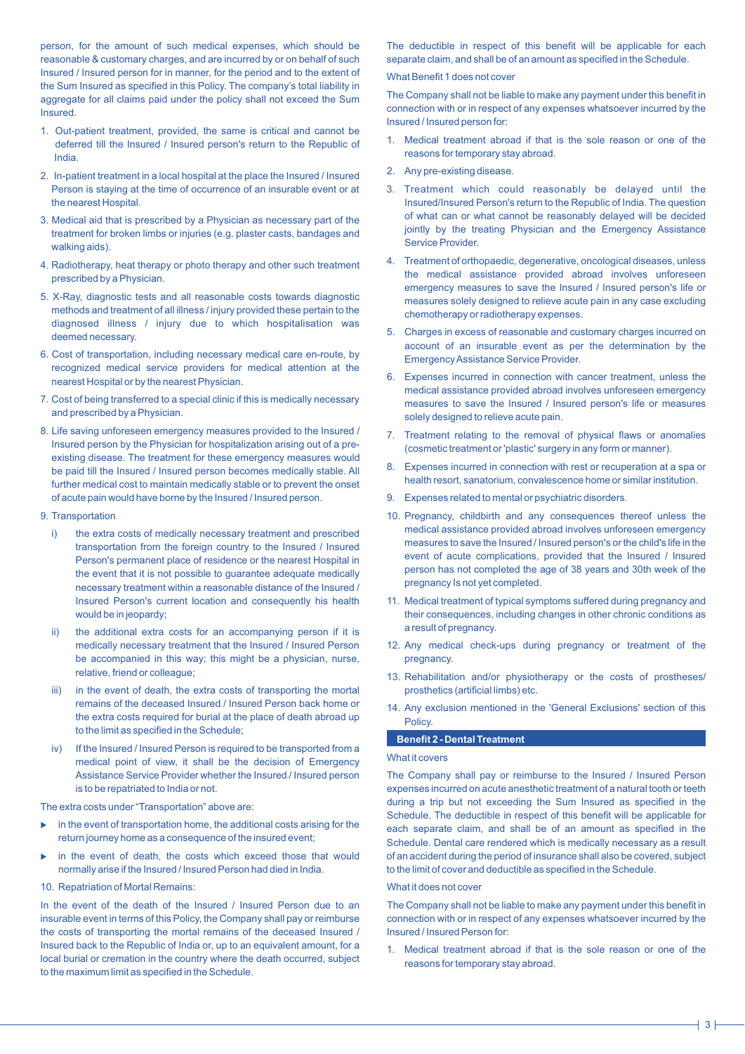person, for the amount of such medical expenses, which should be reasonable & customary charges, and are incurred by or on behalf of such Insured / Insured person for in manner, for the period and to the extent of the Sum Insured as specified in this Policy. The company's total liability in aggregate for all claims paid under the policy shall not exceed the Sum Insured.

- 1. Out-patient treatment, provided, the same is critical and cannot be deferred till the Insured / Insured person's return to the Republic of India.
- 2. In-patient treatment in a local hospital at the place the Insured / Insured Person is staying at the time of occurrence of an insurable event or at the nearest Hospital.
- 3. Medical aid that is prescribed by a Physician as necessary part of the treatment for broken limbs or injuries (e.g. plaster casts, bandages and walking aids).
- 4. Radiotherapy, heat therapy or photo therapy and other such treatment prescribed by a Physician.
- 5. X-Ray, diagnostic tests and all reasonable costs towards diagnostic methods and treatment of all illness / injury provided these pertain to the diagnosed illness / injury due to which hospitalisation was deemed necessary.
- 6. Cost of transportation, including necessary medical care en-route, by recognized medical service providers for medical attention at the nearest Hospital or by the nearest Physician.
- 7. Cost of being transferred to a special clinic if this is medically necessary and prescribed by a Physician.
- 8. Life saving unforeseen emergency measures provided to the Insured / Insured person by the Physician for hospitalization arising out of a preexisting disease. The treatment for these emergency measures would be paid till the Insured / Insured person becomes medically stable. All further medical cost to maintain medically stable or to prevent the onset of acute pain would have borne by the Insured / Insured person.
- 9. Transportation
	- i) the extra costs of medically necessary treatment and prescribed transportation from the foreign country to the Insured / Insured Person's permanent place of residence or the nearest Hospital in the event that it is not possible to guarantee adequate medically necessary treatment within a reasonable distance of the Insured / Insured Person's current location and consequently his health would be in jeopardy;
	- ii) the additional extra costs for an accompanying person if it is medically necessary treatment that the Insured / Insured Person be accompanied in this way; this might be a physician, nurse, relative, friend or colleague;
	- iii) in the event of death, the extra costs of transporting the mortal remains of the deceased Insured / Insured Person back home or the extra costs required for burial at the place of death abroad up to the limit as specified in the Schedule;
	- iv) If the Insured / Insured Person is required to be transported from a medical point of view, it shall be the decision of Emergency Assistance Service Provider whether the Insured / Insured person is to be repatriated to India or not.

The extra costs under "Transportation" above are:

- $\blacktriangleright$  in the event of transportation home, the additional costs arising for the return journey home as a consequence of the insured event;
- in the event of death, the costs which exceed those that would normally arise if the Insured / Insured Person had died in India.
- 10. Repatriation of Mortal Remains:

In the event of the death of the Insured / Insured Person due to an insurable event in terms of this Policy, the Company shall pay or reimburse the costs of transporting the mortal remains of the deceased Insured / Insured back to the Republic of India or, up to an equivalent amount, for a local burial or cremation in the country where the death occurred, subject to the maximum limit as specified in the Schedule.

The deductible in respect of this benefit will be applicable for each separate claim, and shall be of an amount as specified in the Schedule.

# What Benefit 1 does not cover

The Company shall not be liable to make any payment under this benefit in connection with or in respect of any expenses whatsoever incurred by the Insured / Insured person for:

- 1. Medical treatment abroad if that is the sole reason or one of the reasons for temporary stay abroad.
- 2. Any pre-existing disease.
- 3. Treatment which could reasonably be delayed until the Insured/Insured Person's return to the Republic of India. The question of what can or what cannot be reasonably delayed will be decided jointly by the treating Physician and the Emergency Assistance Service Provider.
- 4. Treatment of orthopaedic, degenerative, oncological diseases, unless the medical assistance provided abroad involves unforeseen emergency measures to save the Insured / Insured person's life or measures solely designed to relieve acute pain in any case excluding chemotherapy or radiotherapy expenses.
- 5. Charges in excess of reasonable and customary charges incurred on account of an insurable event as per the determination by the Emergency Assistance Service Provider.
- 6. Expenses incurred in connection with cancer treatment, unless the medical assistance provided abroad involves unforeseen emergency measures to save the Insured / Insured person's life or measures solely designed to relieve acute pain.
- 7. Treatment relating to the removal of physical flaws or anomalies (cosmetic treatment or 'plastic' surgery in any form or manner).
- 8. Expenses incurred in connection with rest or recuperation at a spa or health resort, sanatorium, convalescence home or similar institution.
- 9. Expenses related to mental or psychiatric disorders.
- 10. Pregnancy, childbirth and any consequences thereof unless the medical assistance provided abroad involves unforeseen emergency measures to save the Insured / Insured person's or the child's life in the event of acute complications, provided that the Insured / Insured person has not completed the age of 38 years and 30th week of the pregnancy Is not yet completed.
- 11. Medical treatment of typical symptoms suffered during pregnancy and their consequences, including changes in other chronic conditions as a result of pregnancy.
- 12. Any medical check-ups during pregnancy or treatment of the pregnancy.
- 13. Rehabilitation and/or physiotherapy or the costs of prostheses/ prosthetics (artificial limbs) etc.
- 14. Any exclusion mentioned in the 'General Exclusions' section of this Policy.

# **Benefit 2 - Dental Treatment**

# What it covers

The Company shall pay or reimburse to the Insured / Insured Person expenses incurred on acute anesthetic treatment of a natural tooth or teeth during a trip but not exceeding the Sum Insured as specified in the Schedule. The deductible in respect of this benefit will be applicable for each separate claim, and shall be of an amount as specified in the Schedule. Dental care rendered which is medically necessary as a result of an accident during the period of insurance shall also be covered, subject to the limit of cover and deductible as specified in the Schedule.

### What it does not cover

The Company shall not be liable to make any payment under this benefit in connection with or in respect of any expenses whatsoever incurred by the Insured / Insured Person for:

1. Medical treatment abroad if that is the sole reason or one of the reasons for temporary stay abroad.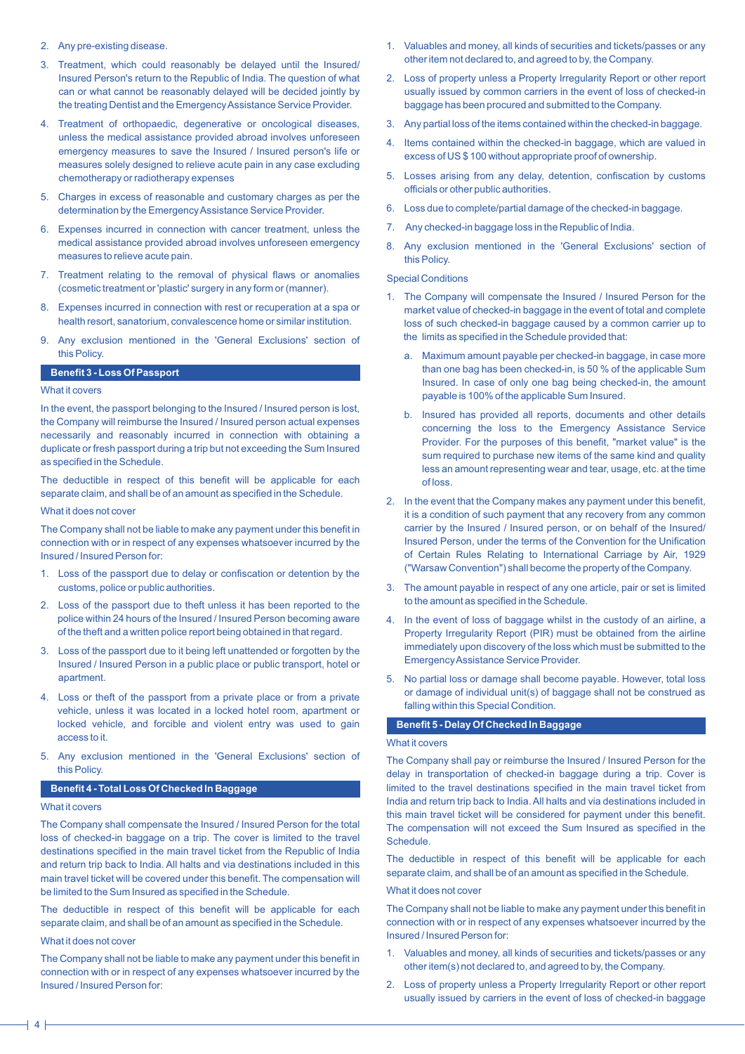- 2. Any pre-existing disease.
- 3. Treatment, which could reasonably be delayed until the Insured/ Insured Person's return to the Republic of India. The question of what can or what cannot be reasonably delayed will be decided jointly by the treating Dentist and the Emergency Assistance Service Provider.
- 4. Treatment of orthopaedic, degenerative or oncological diseases, unless the medical assistance provided abroad involves unforeseen emergency measures to save the Insured / Insured person's life or measures solely designed to relieve acute pain in any case excluding chemotherapy or radiotherapy expenses
- 5. Charges in excess of reasonable and customary charges as per the determination by the Emergency Assistance Service Provider.
- 6. Expenses incurred in connection with cancer treatment, unless the medical assistance provided abroad involves unforeseen emergency measures to relieve acute pain.
- 7. Treatment relating to the removal of physical flaws or anomalies (cosmetic treatment or 'plastic' surgery in any form or (manner).
- 8. Expenses incurred in connection with rest or recuperation at a spa or health resort, sanatorium, convalescence home or similar institution.
- 9. Any exclusion mentioned in the 'General Exclusions' section of this Policy.

#### **Benefit 3 - Loss Of Passport**

### What it covers

In the event, the passport belonging to the Insured / Insured person is lost, the Company will reimburse the Insured / Insured person actual expenses necessarily and reasonably incurred in connection with obtaining a duplicate or fresh passport during a trip but not exceeding the Sum Insured as specified in the Schedule.

The deductible in respect of this benefit will be applicable for each separate claim, and shall be of an amount as specified in the Schedule.

### What it does not cover

The Company shall not be liable to make any payment under this benefit in connection with or in respect of any expenses whatsoever incurred by the Insured / Insured Person for:

- 1. Loss of the passport due to delay or confiscation or detention by the customs, police or public authorities.
- 2. Loss of the passport due to theft unless it has been reported to the police within 24 hours of the Insured / Insured Person becoming aware of the theft and a written police report being obtained in that regard.
- 3. Loss of the passport due to it being left unattended or forgotten by the Insured / Insured Person in a public place or public transport, hotel or apartment.
- 4. Loss or theft of the passport from a private place or from a private vehicle, unless it was located in a locked hotel room, apartment or locked vehicle, and forcible and violent entry was used to gain access to it.
- 5. Any exclusion mentioned in the 'General Exclusions' section of this Policy.

# **Benefit 4 - Total Loss Of Checked In Baggage**

#### What it covers

The Company shall compensate the Insured / Insured Person for the total loss of checked-in baggage on a trip. The cover is limited to the travel destinations specified in the main travel ticket from the Republic of India and return trip back to India. All halts and via destinations included in this main travel ticket will be covered under this benefit. The compensation will be limited to the Sum Insured as specified in the Schedule.

The deductible in respect of this benefit will be applicable for each separate claim, and shall be of an amount as specified in the Schedule.

# What it does not cover

The Company shall not be liable to make any payment under this benefit in connection with or in respect of any expenses whatsoever incurred by the Insured / Insured Person for:

- 1. Valuables and money, all kinds of securities and tickets/passes or any other item not declared to, and agreed to by, the Company.
- 2. Loss of property unless a Property Irregularity Report or other report usually issued by common carriers in the event of loss of checked-in baggage has been procured and submitted to the Company.
- 3. Any partial loss of the items contained within the checked-in baggage.
- 4. Items contained within the checked-in baggage, which are valued in excess of US \$ 100 without appropriate proof of ownership.
- 5. Losses arising from any delay, detention, confiscation by customs officials or other public authorities.
- 6. Loss due to complete/partial damage of the checked-in baggage.
- 7. Any checked-in baggage loss in the Republic of India.
- 8. Any exclusion mentioned in the 'General Exclusions' section of this Policy.

# Special Conditions

- 1. The Company will compensate the Insured / Insured Person for the market value of checked-in baggage in the event of total and complete loss of such checked-in baggage caused by a common carrier up to the limits as specified in the Schedule provided that:
	- a. Maximum amount payable per checked-in baggage, in case more than one bag has been checked-in, is 50 % of the applicable Sum Insured. In case of only one bag being checked-in, the amount payable is 100% of the applicable Sum Insured.
	- b. Insured has provided all reports, documents and other details concerning the loss to the Emergency Assistance Service Provider. For the purposes of this benefit, "market value" is the sum required to purchase new items of the same kind and quality less an amount representing wear and tear, usage, etc. at the time of loss.
- 2. In the event that the Company makes any payment under this benefit, it is a condition of such payment that any recovery from any common carrier by the Insured / Insured person, or on behalf of the Insured/ Insured Person, under the terms of the Convention for the Unification of Certain Rules Relating to International Carriage by Air, 1929 ("Warsaw Convention") shall become the property of the Company.
- 3. The amount payable in respect of any one article, pair or set is limited to the amount as specified in the Schedule.
- 4. In the event of loss of baggage whilst in the custody of an airline, a Property Irregularity Report (PIR) must be obtained from the airline immediately upon discovery of the loss which must be submitted to the Emergency Assistance Service Provider.
- 5. No partial loss or damage shall become payable. However, total loss or damage of individual unit(s) of baggage shall not be construed as falling within this Special Condition.

# **Benefit 5 - Delay Of Checked In Baggage**

# What it covers

The Company shall pay or reimburse the Insured / Insured Person for the delay in transportation of checked-in baggage during a trip. Cover is limited to the travel destinations specified in the main travel ticket from India and return trip back to India. All halts and via destinations included in this main travel ticket will be considered for payment under this benefit. The compensation will not exceed the Sum Insured as specified in the Schedule.

The deductible in respect of this benefit will be applicable for each separate claim, and shall be of an amount as specified in the Schedule.

#### What it does not cover

The Company shall not be liable to make any payment under this benefit in connection with or in respect of any expenses whatsoever incurred by the Insured / Insured Person for:

- 1. Valuables and money, all kinds of securities and tickets/passes or any other item(s) not declared to, and agreed to by, the Company.
- 2. Loss of property unless a Property Irregularity Report or other report usually issued by carriers in the event of loss of checked-in baggage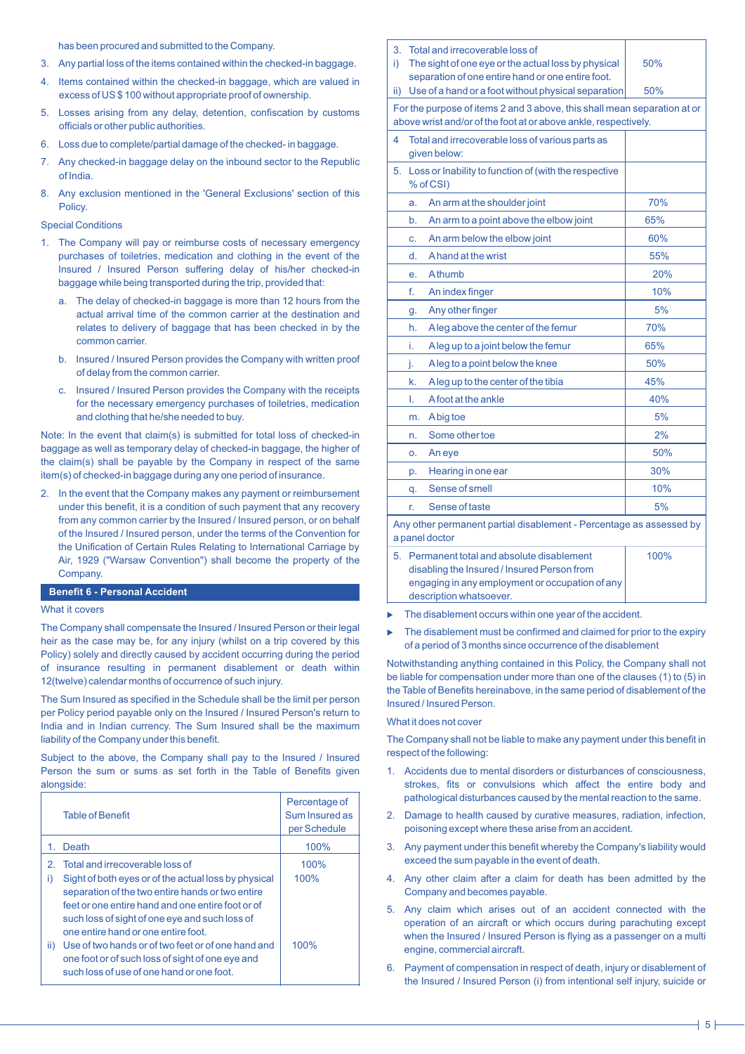has been procured and submitted to the Company.

- 3. Any partial loss of the items contained within the checked-in baggage.
- 4. Items contained within the checked-in baggage, which are valued in excess of US \$ 100 without appropriate proof of ownership.
- 5. Losses arising from any delay, detention, confiscation by customs officials or other public authorities.
- 6. Loss due to complete/partial damage of the checked- in baggage.
- 7. Any checked-in baggage delay on the inbound sector to the Republic of India.
- 8. Any exclusion mentioned in the 'General Exclusions' section of this Policy.

# Special Conditions

- 1. The Company will pay or reimburse costs of necessary emergency purchases of toiletries, medication and clothing in the event of the Insured / Insured Person suffering delay of his/her checked-in baggage while being transported during the trip, provided that:
	- a. The delay of checked-in baggage is more than 12 hours from the actual arrival time of the common carrier at the destination and relates to delivery of baggage that has been checked in by the common carrier.
	- b. Insured / Insured Person provides the Company with written proof of delay from the common carrier.
	- c. Insured / Insured Person provides the Company with the receipts for the necessary emergency purchases of toiletries, medication and clothing that he/she needed to buy.

Note: In the event that claim(s) is submitted for total loss of checked-in baggage as well as temporary delay of checked-in baggage, the higher of the claim(s) shall be payable by the Company in respect of the same item(s) of checked-in baggage during any one period of insurance.

2. In the event that the Company makes any payment or reimbursement under this benefit, it is a condition of such payment that any recovery from any common carrier by the Insured / Insured person, or on behalf of the Insured / Insured person, under the terms of the Convention for the Unification of Certain Rules Relating to International Carriage by Air, 1929 ("Warsaw Convention") shall become the property of the Company

# **Benefit 6 - Personal Accident**

# What it covers

The Company shall compensate the Insured / Insured Person or their legal heir as the case may be, for any injury (whilst on a trip covered by this Policy) solely and directly caused by accident occurring during the period of insurance resulting in permanent disablement or death within 12(twelve) calendar months of occurrence of such injury.

The Sum Insured as specified in the Schedule shall be the limit per person per Policy period payable only on the Insured / Insured Person's return to India and in Indian currency. The Sum Insured shall be the maximum liability of the Company under this benefit.

Subject to the above, the Company shall pay to the Insured / Insured Person the sum or sums as set forth in the Table of Benefits given alongside:

|                  | <b>Table of Benefit</b>                                                                                                                                                                                                                                                                                                                                                                                                                          | Percentage of<br>Sum Insured as<br>per Schedule |
|------------------|--------------------------------------------------------------------------------------------------------------------------------------------------------------------------------------------------------------------------------------------------------------------------------------------------------------------------------------------------------------------------------------------------------------------------------------------------|-------------------------------------------------|
|                  | Death                                                                                                                                                                                                                                                                                                                                                                                                                                            | 100%                                            |
| 2.<br>i)<br>ii). | Total and irrecoverable loss of<br>Sight of both eyes or of the actual loss by physical<br>separation of the two entire hands or two entire<br>feet or one entire hand and one entire foot or of<br>such loss of sight of one eye and such loss of<br>one entire hand or one entire foot.<br>Use of two hands or of two feet or of one hand and<br>one foot or of such loss of sight of one eye and<br>such loss of use of one hand or one foot. | 100%<br>100%<br>100%                            |

| 3.<br>i)                                                                                                                                    | Total and irrecoverable loss of<br>The sight of one eye or the actual loss by physical<br>50%                                                                                 |                                                                                                          |     |  |  |  |
|---------------------------------------------------------------------------------------------------------------------------------------------|-------------------------------------------------------------------------------------------------------------------------------------------------------------------------------|----------------------------------------------------------------------------------------------------------|-----|--|--|--|
| ii)                                                                                                                                         |                                                                                                                                                                               | separation of one entire hand or one entire foot.<br>Use of a hand or a foot without physical separation | 50% |  |  |  |
| For the purpose of items 2 and 3 above, this shall mean separation at or<br>above wrist and/or of the foot at or above ankle, respectively. |                                                                                                                                                                               |                                                                                                          |     |  |  |  |
| 4                                                                                                                                           |                                                                                                                                                                               | Total and irrecoverable loss of various parts as<br>given below:                                         |     |  |  |  |
| 5.                                                                                                                                          |                                                                                                                                                                               | Loss or Inability to function of (with the respective<br>% of CSI)                                       |     |  |  |  |
|                                                                                                                                             | a.                                                                                                                                                                            | An arm at the shoulder joint                                                                             | 70% |  |  |  |
|                                                                                                                                             | b.                                                                                                                                                                            | An arm to a point above the elbow joint                                                                  | 65% |  |  |  |
|                                                                                                                                             | c.                                                                                                                                                                            | An arm below the elbow joint                                                                             | 60% |  |  |  |
|                                                                                                                                             | d.                                                                                                                                                                            | A hand at the wrist                                                                                      | 55% |  |  |  |
|                                                                                                                                             | e.                                                                                                                                                                            | Athumb                                                                                                   | 20% |  |  |  |
|                                                                                                                                             | f.                                                                                                                                                                            | An index finger                                                                                          | 10% |  |  |  |
|                                                                                                                                             | g.                                                                                                                                                                            | Any other finger                                                                                         | 5%  |  |  |  |
|                                                                                                                                             | h.                                                                                                                                                                            | Aleg above the center of the femur                                                                       | 70% |  |  |  |
|                                                                                                                                             | i.                                                                                                                                                                            | Aleg up to a joint below the femur                                                                       | 65% |  |  |  |
|                                                                                                                                             | j.                                                                                                                                                                            | Aleg to a point below the knee                                                                           | 50% |  |  |  |
|                                                                                                                                             | k.                                                                                                                                                                            | Aleg up to the center of the tibia                                                                       | 45% |  |  |  |
|                                                                                                                                             | Ι.                                                                                                                                                                            | Afoot at the ankle                                                                                       | 40% |  |  |  |
|                                                                                                                                             | m.                                                                                                                                                                            | Abig toe                                                                                                 | 5%  |  |  |  |
|                                                                                                                                             | n.                                                                                                                                                                            | Some other toe                                                                                           | 2%  |  |  |  |
|                                                                                                                                             | 0.                                                                                                                                                                            | An eye                                                                                                   | 50% |  |  |  |
|                                                                                                                                             | p.                                                                                                                                                                            | Hearing in one ear                                                                                       | 30% |  |  |  |
|                                                                                                                                             | q.                                                                                                                                                                            | Sense of smell                                                                                           | 10% |  |  |  |
|                                                                                                                                             | r.                                                                                                                                                                            | Sense of taste                                                                                           | 5%  |  |  |  |
| Any other permanent partial disablement - Percentage as assessed by<br>a panel doctor                                                       |                                                                                                                                                                               |                                                                                                          |     |  |  |  |
| 5.                                                                                                                                          | Permanent total and absolute disablement<br>100%<br>disabling the Insured / Insured Person from<br>engaging in any employment or occupation of any<br>description whatsoever. |                                                                                                          |     |  |  |  |

- The disablement occurs within one year of the accident.
- The disablement must be confirmed and claimed for prior to the expiry of a period of 3 months since occurrence of the disablement

Notwithstanding anything contained in this Policy, the Company shall not be liable for compensation under more than one of the clauses (1) to (5) in the Table of Benefits hereinabove, in the same period of disablement of the Insured / Insured Person.

# What it does not cover

The Company shall not be liable to make any payment under this benefit in respect of the following:

- 1. Accidents due to mental disorders or disturbances of consciousness, strokes, fits or convulsions which affect the entire body and pathological disturbances caused by the mental reaction to the same.
- 2. Damage to health caused by curative measures, radiation, infection, poisoning except where these arise from an accident.
- 3. Any payment under this benefit whereby the Company's liability would exceed the sum payable in the event of death.
- 4. Any other claim after a claim for death has been admitted by the Company and becomes payable.
- 5. Any claim which arises out of an accident connected with the operation of an aircraft or which occurs during parachuting except when the Insured / Insured Person is flying as a passenger on a multi engine, commercial aircraft.
- 6. Payment of compensation in respect of death, injury or disablement of the Insured / Insured Person (i) from intentional self injury, suicide or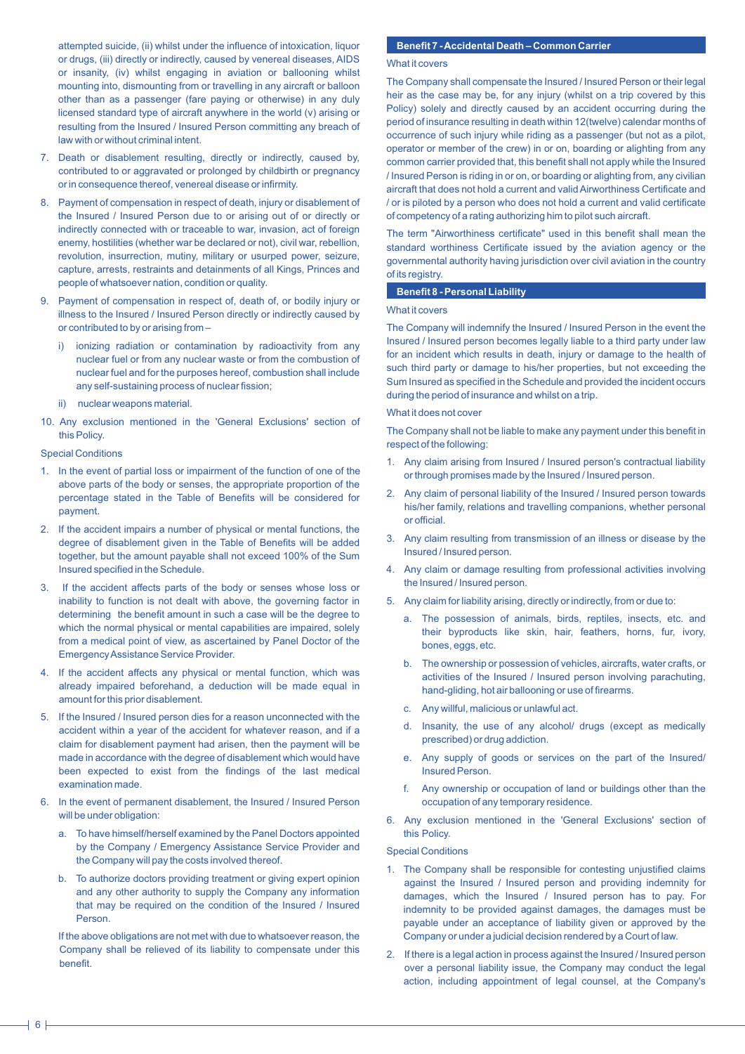attempted suicide, (ii) whilst under the influence of intoxication, liquor or drugs, (iii) directly or indirectly, caused by venereal diseases, AIDS or insanity, (iv) whilst engaging in aviation or ballooning whilst mounting into, dismounting from or travelling in any aircraft or balloon other than as a passenger (fare paying or otherwise) in any duly licensed standard type of aircraft anywhere in the world (v) arising or resulting from the Insured / Insured Person committing any breach of law with or without criminal intent.

- 7. Death or disablement resulting, directly or indirectly, caused by, contributed to or aggravated or prolonged by childbirth or pregnancy or in consequence thereof, venereal disease or infirmity.
- 8. Payment of compensation in respect of death, injury or disablement of the Insured / Insured Person due to or arising out of or directly or indirectly connected with or traceable to war, invasion, act of foreign enemy, hostilities (whether war be declared or not), civil war, rebellion, revolution, insurrection, mutiny, military or usurped power, seizure, capture, arrests, restraints and detainments of all Kings, Princes and people of whatsoever nation, condition or quality.
- 9. Payment of compensation in respect of, death of, or bodily injury or illness to the Insured / Insured Person directly or indirectly caused by or contributed to by or arising from –
	- i) ionizing radiation or contamination by radioactivity from any nuclear fuel or from any nuclear waste or from the combustion of nuclear fuel and for the purposes hereof, combustion shall include any self-sustaining process of nuclear fission;
	- ii) nuclear weapons material.
- 10. Any exclusion mentioned in the 'General Exclusions' section of this Policy.

#### Special Conditions

- 1. In the event of partial loss or impairment of the function of one of the above parts of the body or senses, the appropriate proportion of the percentage stated in the Table of Benefits will be considered for payment.
- 2. If the accident impairs a number of physical or mental functions, the degree of disablement given in the Table of Benefits will be added together, but the amount payable shall not exceed 100% of the Sum Insured specified in the Schedule.
- 3. If the accident affects parts of the body or senses whose loss or inability to function is not dealt with above, the governing factor in determining the benefit amount in such a case will be the degree to which the normal physical or mental capabilities are impaired, solely from a medical point of view, as ascertained by Panel Doctor of the Emergency Assistance Service Provider.
- If the accident affects any physical or mental function, which was already impaired beforehand, a deduction will be made equal in amount for this prior disablement.
- 5. If the Insured / Insured person dies for a reason unconnected with the accident within a year of the accident for whatever reason, and if a claim for disablement payment had arisen, then the payment will be made in accordance with the degree of disablement which would have been expected to exist from the findings of the last medical examination made.
- 6. In the event of permanent disablement, the Insured / Insured Person will be under obligation:
	- a. To have himself/herself examined by the Panel Doctors appointed by the Company / Emergency Assistance Service Provider and the Company will pay the costs involved thereof.
	- b. To authorize doctors providing treatment or giving expert opinion and any other authority to supply the Company any information that may be required on the condition of the Insured / Insured Person.

If the above obligations are not met with due to whatsoever reason, the Company shall be relieved of its liability to compensate under this benefit.

# **Benefit 7 - Accidental Death – Common Carrier**

# What it covers

The Company shall compensate the Insured / Insured Person or their legal heir as the case may be, for any injury (whilst on a trip covered by this Policy) solely and directly caused by an accident occurring during the period of insurance resulting in death within 12(twelve) calendar months of occurrence of such injury while riding as a passenger (but not as a pilot, operator or member of the crew) in or on, boarding or alighting from any common carrier provided that, this benefit shall not apply while the Insured / Insured Person is riding in or on, or boarding or alighting from, any civilian aircraft that does not hold a current and valid Airworthiness Certificate and / or is piloted by a person who does not hold a current and valid certificate of competency of a rating authorizing him to pilot such aircraft.

The term "Airworthiness certificate" used in this benefit shall mean the standard worthiness Certificate issued by the aviation agency or the governmental authority having jurisdiction over civil aviation in the country of its registry.

#### **Benefit 8 - Personal Liability**

# What it covers

The Company will indemnify the Insured / Insured Person in the event the Insured / Insured person becomes legally liable to a third party under law for an incident which results in death, injury or damage to the health of such third party or damage to his/her properties, but not exceeding the Sum Insured as specified in the Schedule and provided the incident occurs during the period of insurance and whilst on a trip.

#### What it does not cover

The Company shall not be liable to make any payment under this benefit in respect of the following:

- 1. Any claim arising from Insured / Insured person's contractual liability or through promises made by the Insured / Insured person.
- 2. Any claim of personal liability of the Insured / Insured person towards his/her family, relations and travelling companions, whether personal or official.
- 3. Any claim resulting from transmission of an illness or disease by the Insured / Insured person.
- 4. Any claim or damage resulting from professional activities involving the Insured / Insured person.
- 5. Any claim for liability arising, directly or indirectly, from or due to:
	- a. The possession of animals, birds, reptiles, insects, etc. and their byproducts like skin, hair, feathers, horns, fur, ivory, bones, eggs, etc.
	- b. The ownership or possession of vehicles, aircrafts, water crafts, or activities of the Insured / Insured person involving parachuting, hand-gliding, hot air ballooning or use of firearms.
	- c. Any willful, malicious or unlawful act.
	- d. Insanity, the use of any alcohol/ drugs (except as medically prescribed) or drug addiction.
	- e. Any supply of goods or services on the part of the Insured/ Insured Person.
	- f. Any ownership or occupation of land or buildings other than the occupation of any temporary residence.
- 6. Any exclusion mentioned in the 'General Exclusions' section of this Policy.

# Special Conditions

- 1. The Company shall be responsible for contesting unjustified claims against the Insured / Insured person and providing indemnity for damages, which the Insured / Insured person has to pay. For indemnity to be provided against damages, the damages must be payable under an acceptance of liability given or approved by the Company or under a judicial decision rendered by a Court of law.
- 2. If there is a legal action in process against the Insured / Insured person over a personal liability issue, the Company may conduct the legal action, including appointment of legal counsel, at the Company's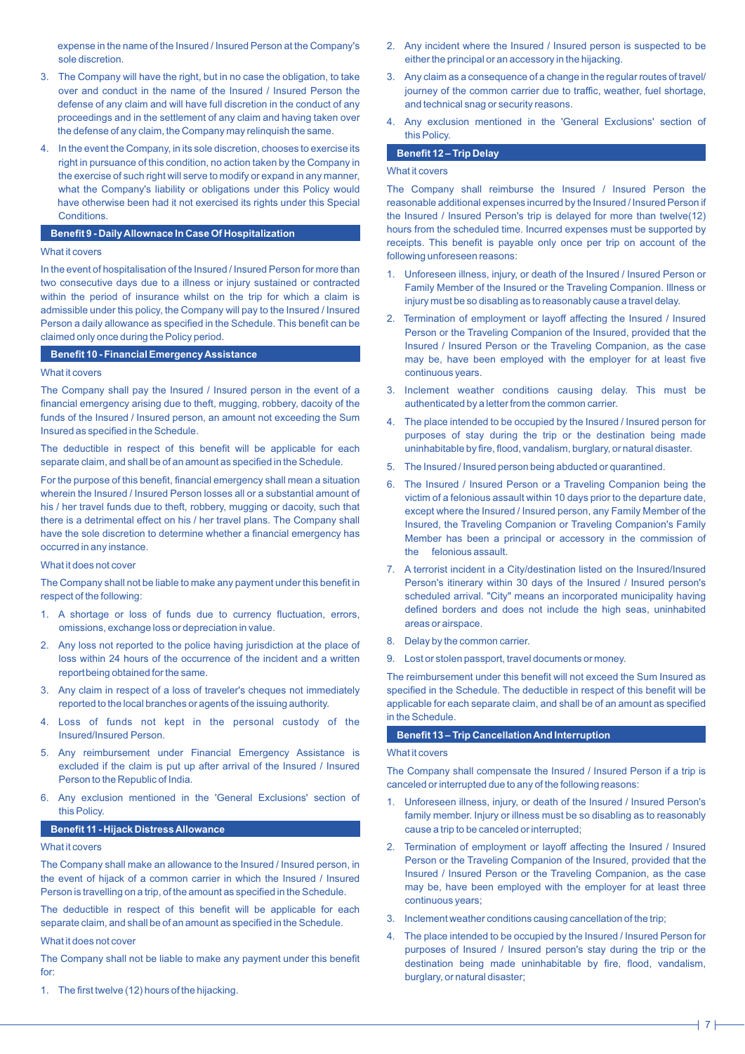expense in the name of the Insured / Insured Person at the Company's sole discretion.

- 3. The Company will have the right, but in no case the obligation, to take over and conduct in the name of the Insured / Insured Person the defense of any claim and will have full discretion in the conduct of any proceedings and in the settlement of any claim and having taken over the defense of any claim, the Company may relinquish the same.
- 4. In the event the Company, in its sole discretion, chooses to exercise its right in pursuance of this condition, no action taken by the Company in the exercise of such right will serve to modify or expand in any manner, what the Company's liability or obligations under this Policy would have otherwise been had it not exercised its rights under this Special **Conditions**

# **Benefit 9 - Daily Allownace In Case Of Hospitalization**

# What it covers

In the event of hospitalisation of the Insured / Insured Person for more than two consecutive days due to a illness or injury sustained or contracted within the period of insurance whilst on the trip for which a claim is admissible under this policy, the Company will pay to the Insured / Insured Person a daily allowance as specified in the Schedule. This benefit can be claimed only once during the Policy period.

# **Benefit 10 - Financial Emergency Assistance**

#### What it covers

The Company shall pay the Insured / Insured person in the event of a financial emergency arising due to theft, mugging, robbery, dacoity of the funds of the Insured / Insured person, an amount not exceeding the Sum Insured as specified in the Schedule.

The deductible in respect of this benefit will be applicable for each separate claim, and shall be of an amount as specified in the Schedule.

For the purpose of this benefit, financial emergency shall mean a situation wherein the Insured / Insured Person losses all or a substantial amount of his / her travel funds due to theft, robbery, mugging or dacoity, such that there is a detrimental effect on his / her travel plans. The Company shall have the sole discretion to determine whether a financial emergency has occurred in any instance.

#### What it does not cover

The Company shall not be liable to make any payment under this benefit in respect of the following:

- 1. A shortage or loss of funds due to currency fluctuation, errors, omissions, exchange loss or depreciation in value.
- 2. Any loss not reported to the police having jurisdiction at the place of loss within 24 hours of the occurrence of the incident and a written report being obtained for the same.
- 3. Any claim in respect of a loss of traveler's cheques not immediately reported to the local branches or agents of the issuing authority.
- 4. Loss of funds not kept in the personal custody of the Insured/Insured Person.
- 5. Any reimbursement under Financial Emergency Assistance is excluded if the claim is put up after arrival of the Insured / Insured Person to the Republic of India.
- 6. Any exclusion mentioned in the 'General Exclusions' section of this Policy.

# **Benefit 11 - Hijack Distress Allowance**

#### What it covers

The Company shall make an allowance to the Insured / Insured person, in the event of hijack of a common carrier in which the Insured / Insured Person is travelling on a trip, of the amount as specified in the Schedule.

The deductible in respect of this benefit will be applicable for each separate claim, and shall be of an amount as specified in the Schedule.

### What it does not cover

The Company shall not be liable to make any payment under this benefit for:

1. The first twelve (12) hours of the hijacking.

- 2. Any incident where the Insured / Insured person is suspected to be either the principal or an accessory in the hijacking.
- 3. Any claim as a consequence of a change in the regular routes of travel/ journey of the common carrier due to traffic, weather, fuel shortage, and technical snag or security reasons.
- 4. Any exclusion mentioned in the 'General Exclusions' section of this Policy.

# **Benefit 12 – Trip Delay**

### What it covers

The Company shall reimburse the Insured / Insured Person the reasonable additional expenses incurred by the Insured / Insured Person if the Insured / Insured Person's trip is delayed for more than twelve(12) hours from the scheduled time. Incurred expenses must be supported by receipts. This benefit is payable only once per trip on account of the following unforeseen reasons:

- 1. Unforeseen illness, injury, or death of the Insured / Insured Person or Family Member of the Insured or the Traveling Companion. Illness or injury must be so disabling as to reasonably cause a travel delay.
- 2. Termination of employment or layoff affecting the Insured / Insured Person or the Traveling Companion of the Insured, provided that the Insured / Insured Person or the Traveling Companion, as the case may be, have been employed with the employer for at least five continuous years.
- 3. Inclement weather conditions causing delay. This must be authenticated by a letter from the common carrier.
- 4. The place intended to be occupied by the Insured / Insured person for purposes of stay during the trip or the destination being made uninhabitable by fire, flood, vandalism, burglary, or natural disaster.
- 5. The Insured / Insured person being abducted or quarantined.
- 6. The Insured / Insured Person or a Traveling Companion being the victim of a felonious assault within 10 days prior to the departure date, except where the Insured / Insured person, any Family Member of the Insured, the Traveling Companion or Traveling Companion's Family Member has been a principal or accessory in the commission of the felonious assault.
- 7. A terrorist incident in a City/destination listed on the Insured/Insured Person's itinerary within 30 days of the Insured / Insured person's scheduled arrival. "City" means an incorporated municipality having defined borders and does not include the high seas, uninhabited areas or airspace.
- 8. Delay by the common carrier.
- 9. Lost or stolen passport, travel documents or money.

The reimbursement under this benefit will not exceed the Sum Insured as specified in the Schedule. The deductible in respect of this benefit will be applicable for each separate claim, and shall be of an amount as specified in the Schedule.

# **Benefit 13 – Trip Cancellation And Interruption**

# What it covers

The Company shall compensate the Insured / Insured Person if a trip is canceled or interrupted due to any of the following reasons:

- 1. Unforeseen illness, injury, or death of the Insured / Insured Person's family member. Injury or illness must be so disabling as to reasonably cause a trip to be canceled or interrupted;
- 2. Termination of employment or layoff affecting the Insured / Insured Person or the Traveling Companion of the Insured, provided that the Insured / Insured Person or the Traveling Companion, as the case may be, have been employed with the employer for at least three continuous years;
- 3. Inclement weather conditions causing cancellation of the trip;
- 4. The place intended to be occupied by the Insured / Insured Person for purposes of Insured / Insured person's stay during the trip or the destination being made uninhabitable by fire, flood, vandalism, burglary, or natural disaster;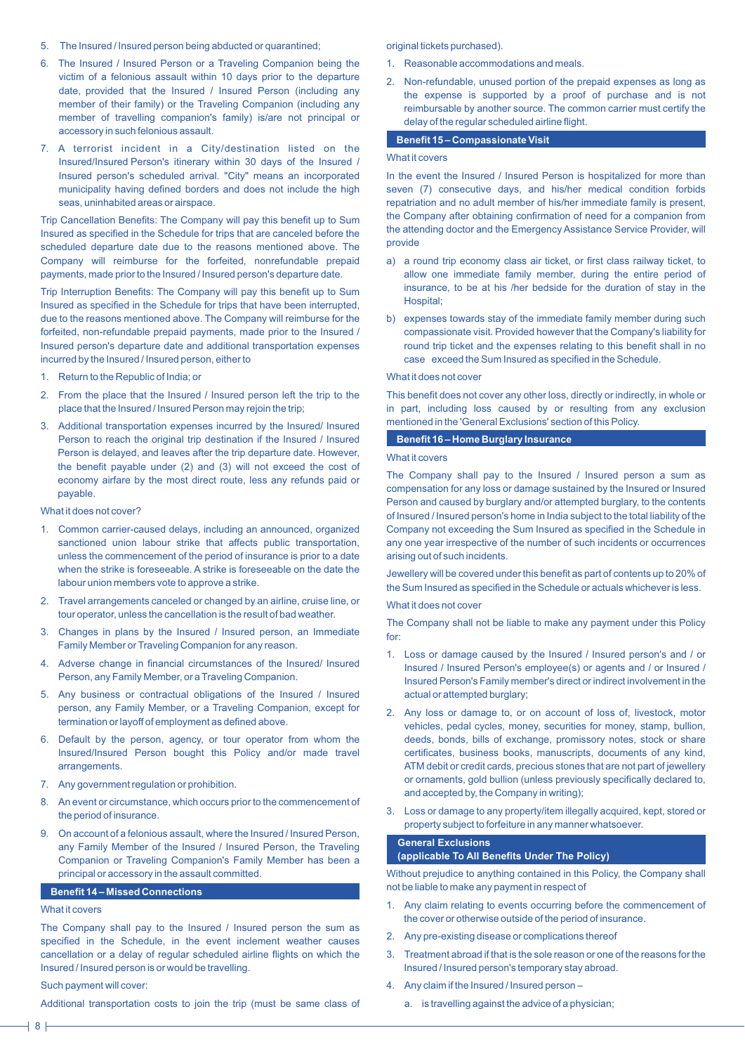- 5. The Insured / Insured person being abducted or quarantined;
- 6. The Insured / Insured Person or a Traveling Companion being the victim of a felonious assault within 10 days prior to the departure date, provided that the Insured / Insured Person (including any member of their family) or the Traveling Companion (including any member of travelling companion's family) is/are not principal or accessory in such felonious assault.
- 7. A terrorist incident in a City/destination listed on the Insured/Insured Person's itinerary within 30 days of the Insured / Insured person's scheduled arrival. "City" means an incorporated municipality having defined borders and does not include the high seas, uninhabited areas or airspace.

Trip Cancellation Benefits: The Company will pay this benefit up to Sum Insured as specified in the Schedule for trips that are canceled before the scheduled departure date due to the reasons mentioned above. The Company will reimburse for the forfeited, nonrefundable prepaid payments, made prior to the Insured / Insured person's departure date.

Trip Interruption Benefits: The Company will pay this benefit up to Sum Insured as specified in the Schedule for trips that have been interrupted, due to the reasons mentioned above. The Company will reimburse for the forfeited, non-refundable prepaid payments, made prior to the Insured / Insured person's departure date and additional transportation expenses incurred by the Insured / Insured person, either to

- 1. Return to the Republic of India; or
- 2. From the place that the Insured / Insured person left the trip to the place that the Insured / Insured Person may rejoin the trip;
- 3. Additional transportation expenses incurred by the Insured/ Insured Person to reach the original trip destination if the Insured / Insured Person is delayed, and leaves after the trip departure date. However, the benefit payable under (2) and (3) will not exceed the cost of economy airfare by the most direct route, less any refunds paid or payable.

#### What it does not cover?

- 1. Common carrier-caused delays, including an announced, organized sanctioned union labour strike that affects public transportation, unless the commencement of the period of insurance is prior to a date when the strike is foreseeable. A strike is foreseeable on the date the labour union members vote to approve a strike.
- 2. Travel arrangements canceled or changed by an airline, cruise line, or tour operator, unless the cancellation is the result of bad weather.
- 3. Changes in plans by the Insured / Insured person, an Immediate Family Member or Traveling Companion for any reason.
- 4. Adverse change in financial circumstances of the Insured/ Insured Person, any Family Member, or a Traveling Companion.
- 5. Any business or contractual obligations of the Insured / Insured person, any Family Member, or a Traveling Companion, except for termination or layoff of employment as defined above.
- 6. Default by the person, agency, or tour operator from whom the Insured/Insured Person bought this Policy and/or made travel arrangements.
- 7. Any government regulation or prohibition.
- 8. An event or circumstance, which occurs prior to the commencement of the period of insurance.
- 9. On account of a felonious assault, where the Insured / Insured Person, any Family Member of the Insured / Insured Person, the Traveling Companion or Traveling Companion's Family Member has been a principal or accessory in the assault committed.

# **Benefit 14 – Missed Connections**

# What it covers

The Company shall pay to the Insured / Insured person the sum as specified in the Schedule, in the event inclement weather causes cancellation or a delay of regular scheduled airline flights on which the Insured / Insured person is or would be travelling.

# Such payment will cover:

Additional transportation costs to join the trip (must be same class of

# original tickets purchased).

- 1. Reasonable accommodations and meals.
- 2. Non-refundable, unused portion of the prepaid expenses as long as the expense is supported by a proof of purchase and is not reimbursable by another source. The common carrier must certify the delay of the regular scheduled airline flight.

#### **Benefit 15 – Compassionate Visit**

### What it covers

In the event the Insured / Insured Person is hospitalized for more than seven (7) consecutive days, and his/her medical condition forbids repatriation and no adult member of his/her immediate family is present, the Company after obtaining confirmation of need for a companion from the attending doctor and the Emergency Assistance Service Provider, will provide

- a) a round trip economy class air ticket, or first class railway ticket, to allow one immediate family member, during the entire period of insurance, to be at his /her bedside for the duration of stay in the Hospital;
- b) expenses towards stay of the immediate family member during such compassionate visit. Provided however that the Company's liability for round trip ticket and the expenses relating to this benefit shall in no case exceed the Sum Insured as specified in the Schedule.

# What it does not cover

This benefit does not cover any other loss, directly or indirectly, in whole or in part, including loss caused by or resulting from any exclusion mentioned in the 'General Exclusions' section of this Policy.

# **Benefit 16 – Home Burglary Insurance**

# What it covers

The Company shall pay to the Insured / Insured person a sum as compensation for any loss or damage sustained by the Insured or Insured Person and caused by burglary and/or attempted burglary, to the contents of Insured / Insured person's home in India subject to the total liability of the Company not exceeding the Sum Insured as specified in the Schedule in any one year irrespective of the number of such incidents or occurrences arising out of such incidents.

Jewellery will be covered under this benefit as part of contents up to 20% of the Sum Insured as specified in the Schedule or actuals whichever is less.

### What it does not cover

The Company shall not be liable to make any payment under this Policy for:

- 1. Loss or damage caused by the Insured / Insured person's and / or Insured / Insured Person's employee(s) or agents and / or Insured / Insured Person's Family member's direct or indirect involvement in the actual or attempted burglary;
- 2. Any loss or damage to, or on account of loss of, livestock, motor vehicles, pedal cycles, money, securities for money, stamp, bullion, deeds, bonds, bills of exchange, promissory notes, stock or share certificates, business books, manuscripts, documents of any kind, ATM debit or credit cards, precious stones that are not part of jewellery or ornaments, gold bullion (unless previously specifically declared to, and accepted by, the Company in writing);
- 3. Loss or damage to any property/item illegally acquired, kept, stored or property subject to forfeiture in any manner whatsoever.

#### **General Exclusions**

# **(applicable To All Benefits Under The Policy)**

Without prejudice to anything contained in this Policy, the Company shall not be liable to make any payment in respect of

- 1. Any claim relating to events occurring before the commencement of the cover or otherwise outside of the period of insurance.
- 2. Any pre-existing disease or complications thereof
- 3. Treatment abroad if that is the sole reason or one of the reasons for the Insured / Insured person's temporary stay abroad.
- 4. Any claim if the Insured / Insured person
	- a. is travelling against the advice of a physician;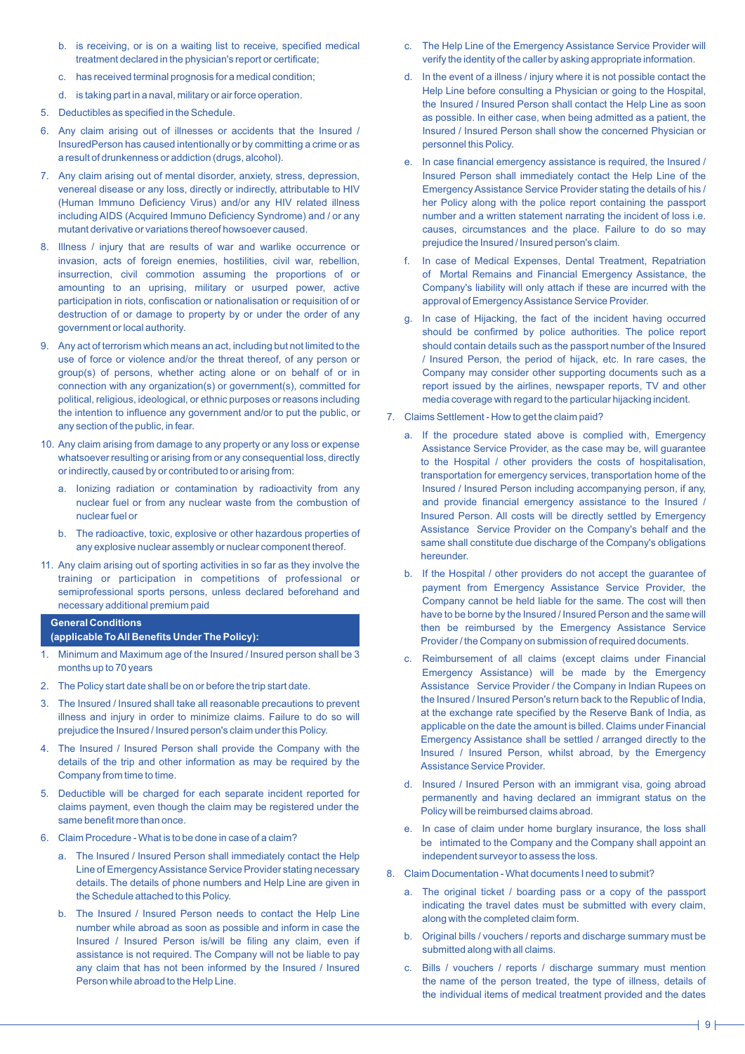- b. is receiving, or is on a waiting list to receive, specified medical treatment declared in the physician's report or certificate;
- c. has received terminal prognosis for a medical condition;
- d. is taking part in a naval, military or air force operation.
- 5. Deductibles as specified in the Schedule.
- 6. Any claim arising out of illnesses or accidents that the Insured / InsuredPerson has caused intentionally or by committing a crime or as a result of drunkenness or addiction (drugs, alcohol).
- 7. Any claim arising out of mental disorder, anxiety, stress, depression, venereal disease or any loss, directly or indirectly, attributable to HIV (Human Immuno Deficiency Virus) and/or any HIV related illness including AIDS (Acquired Immuno Deficiency Syndrome) and / or any mutant derivative or variations thereof howsoever caused.
- 8. Illness / injury that are results of war and warlike occurrence or invasion, acts of foreign enemies, hostilities, civil war, rebellion, insurrection, civil commotion assuming the proportions of or amounting to an uprising, military or usurped power, active participation in riots, confiscation or nationalisation or requisition of or destruction of or damage to property by or under the order of any government or local authority.
- 9. Any act of terrorism which means an act, including but not limited to the use of force or violence and/or the threat thereof, of any person or group(s) of persons, whether acting alone or on behalf of or in connection with any organization(s) or government(s), committed for political, religious, ideological, or ethnic purposes or reasons including the intention to influence any government and/or to put the public, or any section of the public, in fear.
- 10. Any claim arising from damage to any property or any loss or expense whatsoever resulting or arising from or any consequential loss, directly or indirectly, caused by or contributed to or arising from:
	- a. Ionizing radiation or contamination by radioactivity from any nuclear fuel or from any nuclear waste from the combustion of nuclear fuel or
	- b. The radioactive, toxic, explosive or other hazardous properties of any explosive nuclear assembly or nuclear component thereof.
- 11. Any claim arising out of sporting activities in so far as they involve the training or participation in competitions of professional or semiprofessional sports persons, unless declared beforehand and necessary additional premium paid

# **General Conditions**

# **(applicable To All Benefits Under The Policy):**

- 1. Minimum and Maximum age of the Insured / Insured person shall be 3 months up to 70 years
- 2. The Policy start date shall be on or before the trip start date.
- 3. The Insured / Insured shall take all reasonable precautions to prevent illness and injury in order to minimize claims. Failure to do so will prejudice the Insured / Insured person's claim under this Policy.
- 4. The Insured / Insured Person shall provide the Company with the details of the trip and other information as may be required by the Company from time to time.
- 5. Deductible will be charged for each separate incident reported for claims payment, even though the claim may be registered under the same benefit more than once.
- 6. Claim Procedure What is to be done in case of a claim?
	- a. The Insured / Insured Person shall immediately contact the Help Line of Emergency Assistance Service Provider stating necessary details. The details of phone numbers and Help Line are given in the Schedule attached to this Policy.
	- b. The Insured / Insured Person needs to contact the Help Line number while abroad as soon as possible and inform in case the Insured / Insured Person is/will be filing any claim, even if assistance is not required. The Company will not be liable to pay any claim that has not been informed by the Insured / Insured Person while abroad to the Help Line.
- c. The Help Line of the Emergency Assistance Service Provider will verify the identity of the caller by asking appropriate information.
- d. In the event of a illness / injury where it is not possible contact the Help Line before consulting a Physician or going to the Hospital, the Insured / Insured Person shall contact the Help Line as soon as possible. In either case, when being admitted as a patient, the Insured / Insured Person shall show the concerned Physician or personnel this Policy.
- e. In case financial emergency assistance is required, the Insured / Insured Person shall immediately contact the Help Line of the Emergency Assistance Service Provider stating the details of his / her Policy along with the police report containing the passport number and a written statement narrating the incident of loss i.e. causes, circumstances and the place. Failure to do so may prejudice the Insured / Insured person's claim.
- f. In case of Medical Expenses, Dental Treatment, Repatriation of Mortal Remains and Financial Emergency Assistance, the Company's liability will only attach if these are incurred with the approval of Emergency Assistance Service Provider.
- g. In case of Hijacking, the fact of the incident having occurred should be confirmed by police authorities. The police report should contain details such as the passport number of the Insured / Insured Person, the period of hijack, etc. In rare cases, the Company may consider other supporting documents such as a report issued by the airlines, newspaper reports, TV and other media coverage with regard to the particular hijacking incident.
- 7. Claims Settlement How to get the claim paid?
	- a. If the procedure stated above is complied with, Emergency Assistance Service Provider, as the case may be, will guarantee to the Hospital / other providers the costs of hospitalisation, transportation for emergency services, transportation home of the Insured / Insured Person including accompanying person, if any, and provide financial emergency assistance to the Insured / Insured Person. All costs will be directly settled by Emergency Assistance Service Provider on the Company's behalf and the same shall constitute due discharge of the Company's obligations hereunder.
	- b. If the Hospital / other providers do not accept the guarantee of payment from Emergency Assistance Service Provider, the Company cannot be held liable for the same. The cost will then have to be borne by the Insured / Insured Person and the same will then be reimbursed by the Emergency Assistance Service Provider / the Company on submission of required documents.
	- c. Reimbursement of all claims (except claims under Financial Emergency Assistance) will be made by the Emergency Assistance Service Provider / the Company in Indian Rupees on the Insured / Insured Person's return back to the Republic of India, at the exchange rate specified by the Reserve Bank of India, as applicable on the date the amount is billed. Claims under Financial Emergency Assistance shall be settled / arranged directly to the Insured / Insured Person, whilst abroad, by the Emergency Assistance Service Provider.
	- d. Insured / Insured Person with an immigrant visa, going abroad permanently and having declared an immigrant status on the Policy will be reimbursed claims abroad.
	- e. In case of claim under home burglary insurance, the loss shall be intimated to the Company and the Company shall appoint an independent surveyor to assess the loss.
- 8. Claim Documentation What documents I need to submit?
	- a. The original ticket / boarding pass or a copy of the passport indicating the travel dates must be submitted with every claim, along with the completed claim form.
	- b. Original bills / vouchers / reports and discharge summary must be submitted along with all claims.
	- c. Bills / vouchers / reports / discharge summary must mention the name of the person treated, the type of illness, details of the individual items of medical treatment provided and the dates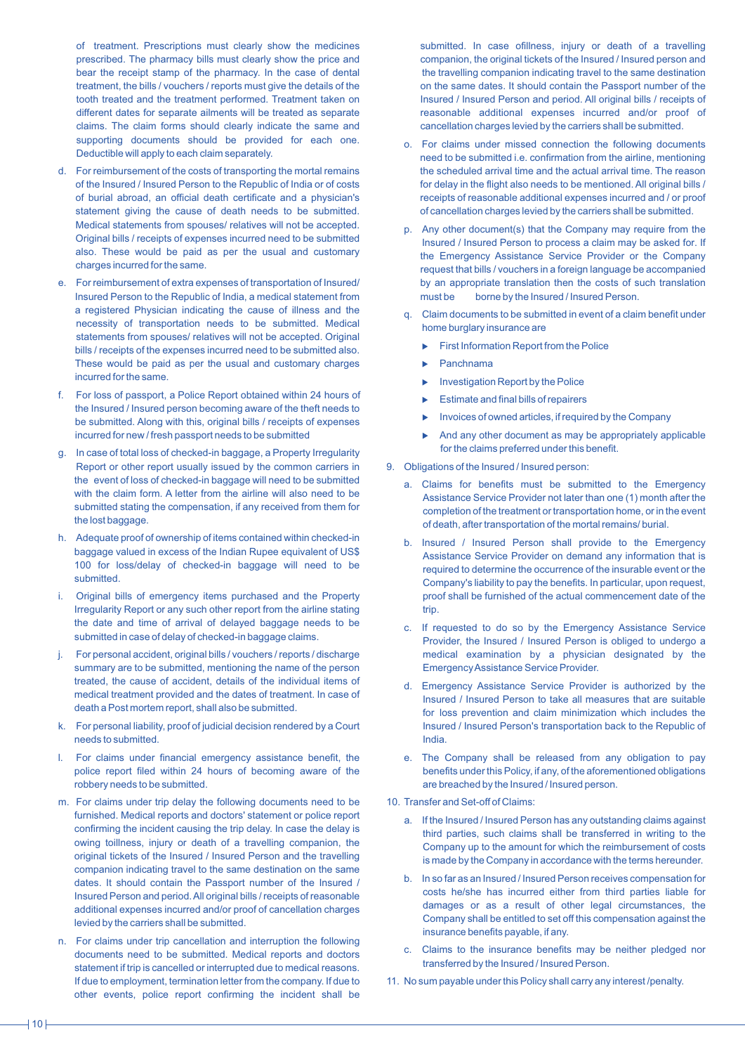of treatment. Prescriptions must clearly show the medicines prescribed. The pharmacy bills must clearly show the price and bear the receipt stamp of the pharmacy. In the case of dental treatment, the bills / vouchers / reports must give the details of the tooth treated and the treatment performed. Treatment taken on different dates for separate ailments will be treated as separate claims. The claim forms should clearly indicate the same and supporting documents should be provided for each one. Deductible will apply to each claim separately.

- d. For reimbursement of the costs of transporting the mortal remains of the Insured / Insured Person to the Republic of India or of costs of burial abroad, an official death certificate and a physician's statement giving the cause of death needs to be submitted. Medical statements from spouses/ relatives will not be accepted. Original bills / receipts of expenses incurred need to be submitted also. These would be paid as per the usual and customary charges incurred for the same.
- e. For reimbursement of extra expenses of transportation of Insured/ Insured Person to the Republic of India, a medical statement from a registered Physician indicating the cause of illness and the necessity of transportation needs to be submitted. Medical statements from spouses/ relatives will not be accepted. Original bills / receipts of the expenses incurred need to be submitted also. These would be paid as per the usual and customary charges incurred for the same.
- f. For loss of passport, a Police Report obtained within 24 hours of the Insured / Insured person becoming aware of the theft needs to be submitted. Along with this, original bills / receipts of expenses incurred for new / fresh passport needs to be submitted
- g. In case of total loss of checked-in baggage, a Property Irregularity Report or other report usually issued by the common carriers in the event of loss of checked-in baggage will need to be submitted with the claim form. A letter from the airline will also need to be submitted stating the compensation, if any received from them for the lost baggage.
- h. Adequate proof of ownership of items contained within checked-in baggage valued in excess of the Indian Rupee equivalent of US\$ 100 for loss/delay of checked-in baggage will need to be submitted.
- Original bills of emergency items purchased and the Property Irregularity Report or any such other report from the airline stating the date and time of arrival of delayed baggage needs to be submitted in case of delay of checked-in baggage claims.
- j. For personal accident, original bills / vouchers / reports / discharge summary are to be submitted, mentioning the name of the person treated, the cause of accident, details of the individual items of medical treatment provided and the dates of treatment. In case of death a Post mortem report, shall also be submitted.
- k. For personal liability, proof of judicial decision rendered by a Court needs to submitted.
- l. For claims under financial emergency assistance benefit, the police report filed within 24 hours of becoming aware of the robbery needs to be submitted.
- m. For claims under trip delay the following documents need to be furnished. Medical reports and doctors' statement or police report confirming the incident causing the trip delay. In case the delay is owing toillness, injury or death of a travelling companion, the original tickets of the Insured / Insured Person and the travelling companion indicating travel to the same destination on the same dates. It should contain the Passport number of the Insured / Insured Person and period. All original bills / receipts of reasonable additional expenses incurred and/or proof of cancellation charges levied by the carriers shall be submitted.
- n. For claims under trip cancellation and interruption the following documents need to be submitted. Medical reports and doctors statement if trip is cancelled or interrupted due to medical reasons. If due to employment, termination letter from the company. If due to other events, police report confirming the incident shall be

submitted. In case ofillness, injury or death of a travelling companion, the original tickets of the Insured / Insured person and the travelling companion indicating travel to the same destination on the same dates. It should contain the Passport number of the Insured / Insured Person and period. All original bills / receipts of reasonable additional expenses incurred and/or proof of cancellation charges levied by the carriers shall be submitted.

- o. For claims under missed connection the following documents need to be submitted i.e. confirmation from the airline, mentioning the scheduled arrival time and the actual arrival time. The reason for delay in the flight also needs to be mentioned. All original bills / receipts of reasonable additional expenses incurred and / or proof of cancellation charges levied by the carriers shall be submitted.
- p. Any other document(s) that the Company may require from the Insured / Insured Person to process a claim may be asked for. If the Emergency Assistance Service Provider or the Company request that bills / vouchers in a foreign language be accompanied by an appropriate translation then the costs of such translation must be borne by the Insured / Insured Person.
- q. Claim documents to be submitted in event of a claim benefit under home burglary insurance are
	- $\blacktriangleright$  First Information Report from the Police
	- Panchnama
	- $\blacktriangleright$  Investigation Report by the Police
	- $\blacktriangleright$  Estimate and final bills of repairers
	- $\blacktriangleright$  Invoices of owned articles, if required by the Company
	- And any other document as may be appropriately applicable for the claims preferred under this benefit.
- 9. Obligations of the Insured / Insured person:
	- a. Claims for benefits must be submitted to the Emergency Assistance Service Provider not later than one (1) month after the completion of the treatment or transportation home, or in the event of death, after transportation of the mortal remains/ burial.
	- b. Insured / Insured Person shall provide to the Emergency Assistance Service Provider on demand any information that is required to determine the occurrence of the insurable event or the Company's liability to pay the benefits. In particular, upon request, proof shall be furnished of the actual commencement date of the trip.
	- c. If requested to do so by the Emergency Assistance Service Provider, the Insured / Insured Person is obliged to undergo a medical examination by a physician designated by the Emergency Assistance Service Provider.
	- d. Emergency Assistance Service Provider is authorized by the Insured / Insured Person to take all measures that are suitable for loss prevention and claim minimization which includes the Insured / Insured Person's transportation back to the Republic of India.
	- e. The Company shall be released from any obligation to pay benefits under this Policy, if any, of the aforementioned obligations are breached by the Insured / Insured person.
- 10. Transfer and Set-off of Claims:
	- a. If the Insured / Insured Person has any outstanding claims against third parties, such claims shall be transferred in writing to the Company up to the amount for which the reimbursement of costs is made by the Company in accordance with the terms hereunder.
	- b. In so far as an Insured / Insured Person receives compensation for costs he/she has incurred either from third parties liable for damages or as a result of other legal circumstances, the Company shall be entitled to set off this compensation against the insurance benefits payable, if any.
	- c. Claims to the insurance benefits may be neither pledged nor transferred by the Insured / Insured Person.
- 11. No sum payable under this Policy shall carry any interest /penalty.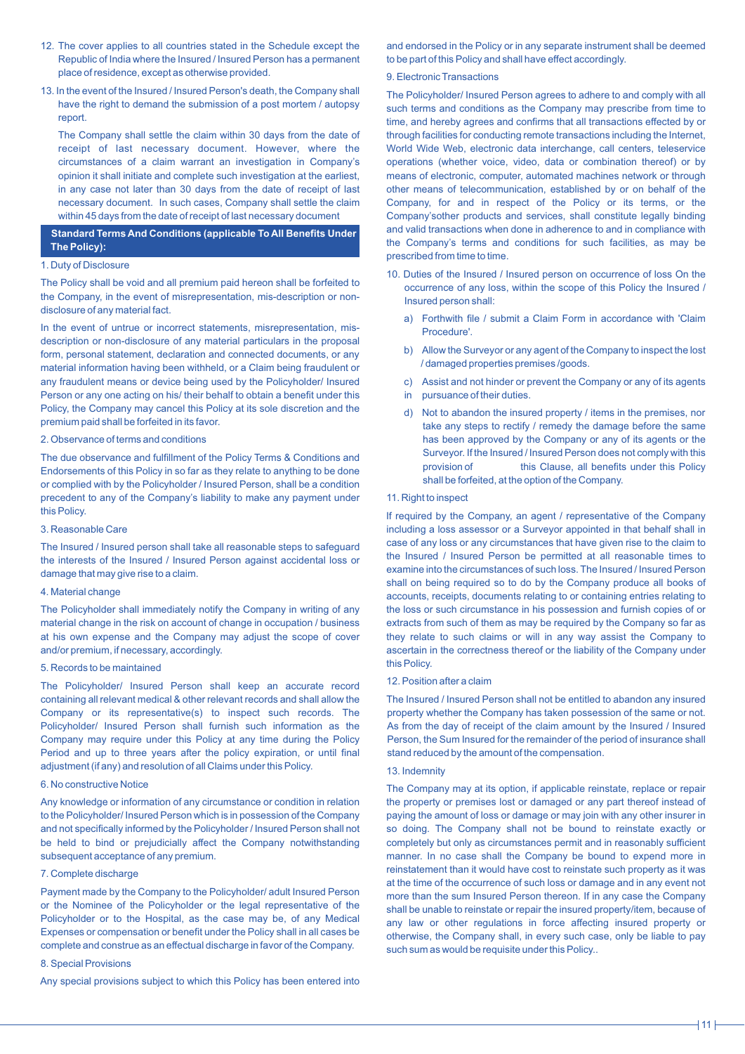- 12. The cover applies to all countries stated in the Schedule except the Republic of India where the Insured / Insured Person has a permanent place of residence, except as otherwise provided.
- 13. In the event of the Insured / Insured Person's death, the Company shall have the right to demand the submission of a post mortem / autopsy report.

The Company shall settle the claim within 30 days from the date of receipt of last necessary document. However, where the circumstances of a claim warrant an investigation in Company's opinion it shall initiate and complete such investigation at the earliest, in any case not later than 30 days from the date of receipt of last necessary document. In such cases, Company shall settle the claim within 45 days from the date of receipt of last necessary document

# **Standard Terms And Conditions (applicable To All Benefits Under The Policy):**

# 1. Duty of Disclosure

The Policy shall be void and all premium paid hereon shall be forfeited to the Company, in the event of misrepresentation, mis-description or nondisclosure of any material fact.

In the event of untrue or incorrect statements, misrepresentation, misdescription or non-disclosure of any material particulars in the proposal form, personal statement, declaration and connected documents, or any material information having been withheld, or a Claim being fraudulent or any fraudulent means or device being used by the Policyholder/ Insured Person or any one acting on his/ their behalf to obtain a benefit under this Policy, the Company may cancel this Policy at its sole discretion and the premium paid shall be forfeited in its favor.

### 2. Observance of terms and conditions

The due observance and fulfillment of the Policy Terms & Conditions and Endorsements of this Policy in so far as they relate to anything to be done or complied with by the Policyholder / Insured Person, shall be a condition precedent to any of the Company's liability to make any payment under this Policy.

# 3. Reasonable Care

The Insured / Insured person shall take all reasonable steps to safeguard the interests of the Insured / Insured Person against accidental loss or damage that may give rise to a claim.

# 4. Material change

The Policyholder shall immediately notify the Company in writing of any material change in the risk on account of change in occupation / business at his own expense and the Company may adjust the scope of cover and/or premium, if necessary, accordingly.

# 5. Records to be maintained

The Policyholder/ Insured Person shall keep an accurate record containing all relevant medical & other relevant records and shall allow the Company or its representative(s) to inspect such records. The Policyholder/ Insured Person shall furnish such information as the Company may require under this Policy at any time during the Policy Period and up to three years after the policy expiration, or until final adjustment (if any) and resolution of all Claims under this Policy.

#### 6. No constructive Notice

Any knowledge or information of any circumstance or condition in relation to the Policyholder/ Insured Person which is in possession of the Company and not specifically informed by the Policyholder / Insured Person shall not be held to bind or prejudicially affect the Company notwithstanding subsequent acceptance of any premium.

# 7. Complete discharge

Payment made by the Company to the Policyholder/ adult Insured Person or the Nominee of the Policyholder or the legal representative of the Policyholder or to the Hospital, as the case may be, of any Medical Expenses or compensation or benefit under the Policy shall in all cases be complete and construe as an effectual discharge in favor of the Company.

# 8. Special Provisions

Any special provisions subject to which this Policy has been entered into

and endorsed in the Policy or in any separate instrument shall be deemed to be part of this Policy and shall have effect accordingly.

# 9. Electronic Transactions

The Policyholder/ Insured Person agrees to adhere to and comply with all such terms and conditions as the Company may prescribe from time to time, and hereby agrees and confirms that all transactions effected by or through facilities for conducting remote transactions including the Internet, World Wide Web, electronic data interchange, call centers, teleservice operations (whether voice, video, data or combination thereof) or by means of electronic, computer, automated machines network or through other means of telecommunication, established by or on behalf of the Company, for and in respect of the Policy or its terms, or the Company'sother products and services, shall constitute legally binding and valid transactions when done in adherence to and in compliance with the Company's terms and conditions for such facilities, as may be prescribed from time to time.

- 10. Duties of the Insured / Insured person on occurrence of loss On the occurrence of any loss, within the scope of this Policy the Insured / Insured person shall:
	- a) Forthwith file / submit a Claim Form in accordance with 'Claim Procedure'.
	- b) Allow the Surveyor or any agent of the Company to inspect the lost / damaged properties premises /goods.
	- c) Assist and not hinder or prevent the Company or any of its agents
	- in pursuance of their duties.
	- d) Not to abandon the insured property / items in the premises, nor take any steps to rectify / remedy the damage before the same has been approved by the Company or any of its agents or the Surveyor. If the Insured / Insured Person does not comply with this provision of this Clause, all benefits under this Policy shall be forfeited, at the option of the Company.

#### 11. Right to inspect

If required by the Company, an agent / representative of the Company including a loss assessor or a Surveyor appointed in that behalf shall in case of any loss or any circumstances that have given rise to the claim to the Insured / Insured Person be permitted at all reasonable times to examine into the circumstances of such loss. The Insured / Insured Person shall on being required so to do by the Company produce all books of accounts, receipts, documents relating to or containing entries relating to the loss or such circumstance in his possession and furnish copies of or extracts from such of them as may be required by the Company so far as they relate to such claims or will in any way assist the Company to ascertain in the correctness thereof or the liability of the Company under this Policy.

### 12. Position after a claim

The Insured / Insured Person shall not be entitled to abandon any insured property whether the Company has taken possession of the same or not. As from the day of receipt of the claim amount by the Insured / Insured Person, the Sum Insured for the remainder of the period of insurance shall stand reduced by the amount of the compensation.

### 13. Indemnity

The Company may at its option, if applicable reinstate, replace or repair the property or premises lost or damaged or any part thereof instead of paying the amount of loss or damage or may join with any other insurer in so doing. The Company shall not be bound to reinstate exactly or completely but only as circumstances permit and in reasonably sufficient manner. In no case shall the Company be bound to expend more in reinstatement than it would have cost to reinstate such property as it was at the time of the occurrence of such loss or damage and in any event not more than the sum Insured Person thereon. If in any case the Company shall be unable to reinstate or repair the insured property/item, because of any law or other regulations in force affecting insured property or otherwise, the Company shall, in every such case, only be liable to pay such sum as would be requisite under this Policy..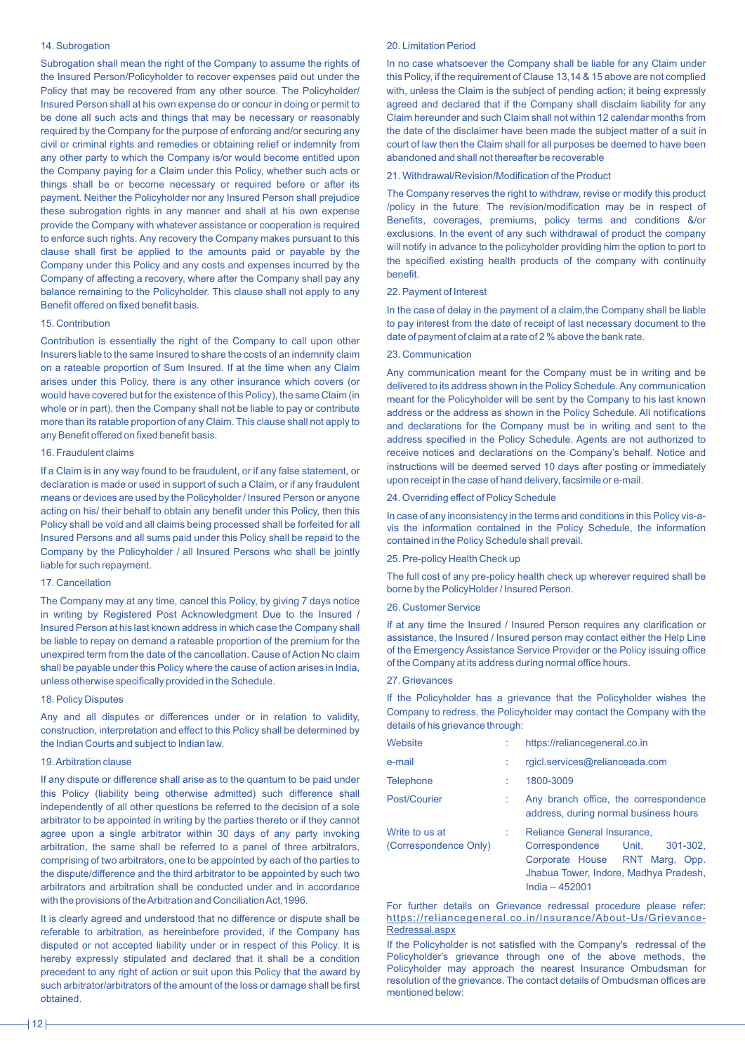# 14. Subrogation

Subrogation shall mean the right of the Company to assume the rights of the Insured Person/Policyholder to recover expenses paid out under the Policy that may be recovered from any other source. The Policyholder/ Insured Person shall at his own expense do or concur in doing or permit to be done all such acts and things that may be necessary or reasonably required by the Company for the purpose of enforcing and/or securing any civil or criminal rights and remedies or obtaining relief or indemnity from any other party to which the Company is/or would become entitled upon the Company paying for a Claim under this Policy, whether such acts or things shall be or become necessary or required before or after its payment. Neither the Policyholder nor any Insured Person shall prejudice these subrogation rights in any manner and shall at his own expense provide the Company with whatever assistance or cooperation is required to enforce such rights. Any recovery the Company makes pursuant to this clause shall first be applied to the amounts paid or payable by the Company under this Policy and any costs and expenses incurred by the Company of affecting a recovery, where after the Company shall pay any balance remaining to the Policyholder. This clause shall not apply to any Benefit offered on fixed benefit basis.

# 15. Contribution

Contribution is essentially the right of the Company to call upon other Insurers liable to the same Insured to share the costs of an indemnity claim on a rateable proportion of Sum Insured. If at the time when any Claim arises under this Policy, there is any other insurance which covers (or would have covered but for the existence of this Policy), the same Claim (in whole or in part), then the Company shall not be liable to pay or contribute more than its ratable proportion of any Claim. This clause shall not apply to any Benefit offered on fixed benefit basis.

### 16. Fraudulent claims

If a Claim is in any way found to be fraudulent, or if any false statement, or declaration is made or used in support of such a Claim, or if any fraudulent means or devices are used by the Policyholder / Insured Person or anyone acting on his/ their behalf to obtain any benefit under this Policy, then this Policy shall be void and all claims being processed shall be forfeited for all Insured Persons and all sums paid under this Policy shall be repaid to the Company by the Policyholder / all Insured Persons who shall be jointly liable for such repayment.

# 17. Cancellation

The Company may at any time, cancel this Policy, by giving 7 days notice in writing by Registered Post Acknowledgment Due to the Insured / Insured Person at his last known address in which case the Company shall be liable to repay on demand a rateable proportion of the premium for the unexpired term from the date of the cancellation. Cause of Action No claim shall be payable under this Policy where the cause of action arises in India, unless otherwise specifically provided in the Schedule.

#### 18. Policy Disputes

Any and all disputes or differences under or in relation to validity, construction, interpretation and effect to this Policy shall be determined by the Indian Courts and subject to Indian law.

### 19. Arbitration clause

If any dispute or difference shall arise as to the quantum to be paid under this Policy (liability being otherwise admitted) such difference shall independently of all other questions be referred to the decision of a sole arbitrator to be appointed in writing by the parties thereto or if they cannot agree upon a single arbitrator within 30 days of any party invoking arbitration, the same shall be referred to a panel of three arbitrators, comprising of two arbitrators, one to be appointed by each of the parties to the dispute/difference and the third arbitrator to be appointed by such two arbitrators and arbitration shall be conducted under and in accordance with the provisions of the Arbitration and Conciliation Act,1996.

It is clearly agreed and understood that no difference or dispute shall be referable to arbitration, as hereinbefore provided, if the Company has disputed or not accepted liability under or in respect of this Policy. It is hereby expressly stipulated and declared that it shall be a condition precedent to any right of action or suit upon this Policy that the award by such arbitrator/arbitrators of the amount of the loss or damage shall be first obtained.

# 20. Limitation Period

In no case whatsoever the Company shall be liable for any Claim under this Policy, if the requirement of Clause 13,14 & 15 above are not complied with, unless the Claim is the subject of pending action; it being expressly agreed and declared that if the Company shall disclaim liability for any Claim hereunder and such Claim shall not within 12 calendar months from the date of the disclaimer have been made the subject matter of a suit in court of law then the Claim shall for all purposes be deemed to have been abandoned and shall not thereafter be recoverable

# 21. Withdrawal/Revision/Modification of the Product

The Company reserves the right to withdraw, revise or modify this product /policy in the future. The revision/modification may be in respect of Benefits, coverages, premiums, policy terms and conditions &/or exclusions. In the event of any such withdrawal of product the company will notify in advance to the policyholder providing him the option to port to the specified existing health products of the company with continuity benefit.

#### 22. Payment of Interest

In the case of delay in the payment of a claim,the Company shall be liable to pay interest from the date of receipt of last necessary document to the date of payment of claim at a rate of 2 % above the bank rate.

# 23. Communication

Any communication meant for the Company must be in writing and be delivered to its address shown in the Policy Schedule. Any communication meant for the Policyholder will be sent by the Company to his last known address or the address as shown in the Policy Schedule. All notifications and declarations for the Company must be in writing and sent to the address specified in the Policy Schedule. Agents are not authorized to receive notices and declarations on the Company's behalf. Notice and instructions will be deemed served 10 days after posting or immediately upon receipt in the case of hand delivery, facsimile or e-mail.

#### 24. Overriding effect of Policy Schedule

In case of any inconsistency in the terms and conditions in this Policy vis-avis the information contained in the Policy Schedule, the information contained in the Policy Schedule shall prevail.

### 25. Pre-policy Health Check up

The full cost of any pre-policy health check up wherever required shall be borne by the PolicyHolder / Insured Person.

### 26. Customer Service

If at any time the Insured / Insured Person requires any clarification or assistance, the Insured / Insured person may contact either the Help Line of the Emergency Assistance Service Provider or the Policy issuing office of the Company at its address during normal office hours.

#### 27. Grievances

If the Policyholder has a grievance that the Policyholder wishes the Company to redress, the Policyholder may contact the Company with the details of his grievance through:

| <b>Website</b>                          | https://reliancegeneral.co.in                                                                                                                              |  |
|-----------------------------------------|------------------------------------------------------------------------------------------------------------------------------------------------------------|--|
| e-mail                                  | rgicl.services@relianceada.com                                                                                                                             |  |
| <b>Telephone</b>                        | 1800-3009                                                                                                                                                  |  |
| Post/Courier                            | Any branch office, the correspondence<br>address, during normal business hours                                                                             |  |
| Write to us at<br>(Correspondence Only) | Reliance General Insurance,<br>Correspondence Unit, 301-302,<br>Corporate House RNT Marg, Opp.<br>Jhabua Tower, Indore, Madhya Pradesh,<br>India $-452001$ |  |

For further details on Grievance redressal procedure please refer: https://reliancegeneral.co.in/Insurance/About-Us/Grievance-Redressal.aspx

If the Policyholder is not satisfied with the Company's redressal of the Policyholder's grievance through one of the above methods, the Policyholder may approach the nearest Insurance Ombudsman for resolution of the grievance. The contact details of Ombudsman offices are mentioned below: